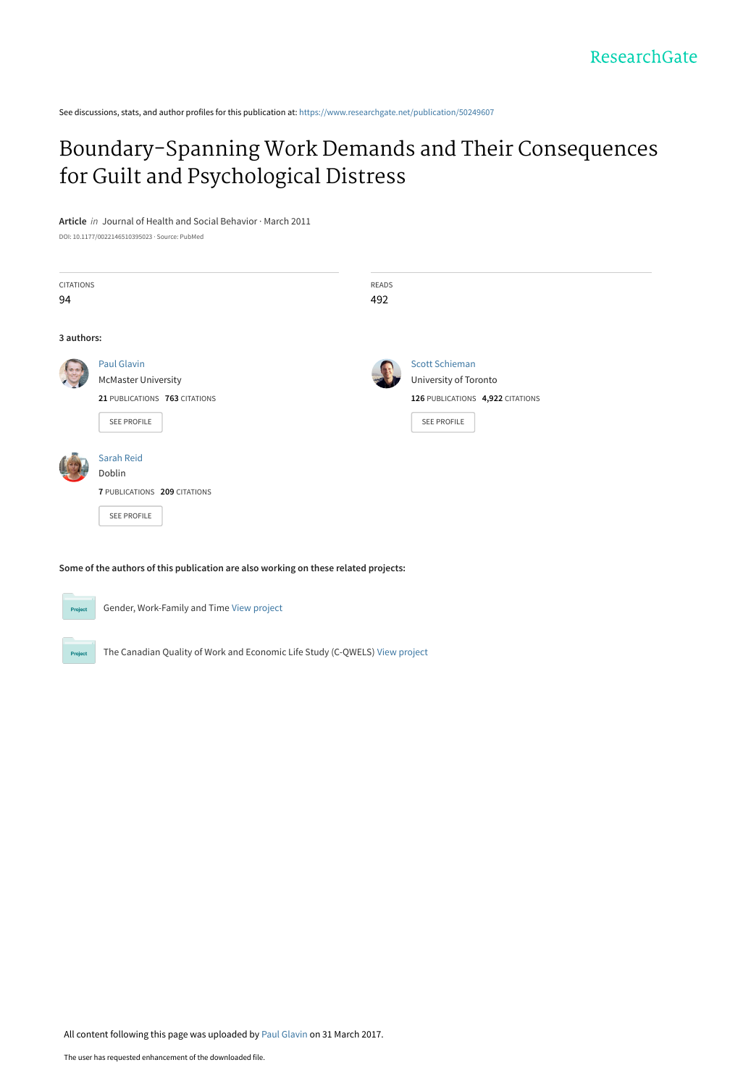See discussions, stats, and author profiles for this publication at: [https://www.researchgate.net/publication/50249607](https://www.researchgate.net/publication/50249607_Boundary-Spanning_Work_Demands_and_Their_Consequences_for_Guilt_and_Psychological_Distress?enrichId=rgreq-74f4cc9a35454d70620346cfdd2ca18c-XXX&enrichSource=Y292ZXJQYWdlOzUwMjQ5NjA3O0FTOjQ3Nzk4MDk3Njc4MzM2MEAxNDkwOTcwOTUzNjIz&el=1_x_2&_esc=publicationCoverPdf)

## [Boundary-Spanning Work Demands and Their Consequences](https://www.researchgate.net/publication/50249607_Boundary-Spanning_Work_Demands_and_Their_Consequences_for_Guilt_and_Psychological_Distress?enrichId=rgreq-74f4cc9a35454d70620346cfdd2ca18c-XXX&enrichSource=Y292ZXJQYWdlOzUwMjQ5NjA3O0FTOjQ3Nzk4MDk3Njc4MzM2MEAxNDkwOTcwOTUzNjIz&el=1_x_3&_esc=publicationCoverPdf) for Guilt and Psychological Distress

**Article** in Journal of Health and Social Behavior · March 2011

DOI: 10.1177/0022146510395023 · Source: PubMed

| CITATIONS<br>94 |                                                                                                  | READS<br>492 |                                                                                                   |
|-----------------|--------------------------------------------------------------------------------------------------|--------------|---------------------------------------------------------------------------------------------------|
| 3 authors:      |                                                                                                  |              |                                                                                                   |
|                 | Paul Glavin<br><b>McMaster University</b><br>21 PUBLICATIONS 763 CITATIONS<br><b>SEE PROFILE</b> |              | <b>Scott Schieman</b><br>University of Toronto<br>126 PUBLICATIONS 4,922 CITATIONS<br>SEE PROFILE |
|                 | Sarah Reid<br>Doblin<br>7 PUBLICATIONS 209 CITATIONS<br><b>SEE PROFILE</b>                       |              |                                                                                                   |

**Some of the authors of this publication are also working on these related projects:**



All content following this page was uploaded by [Paul Glavin](https://www.researchgate.net/profile/Paul_Glavin?enrichId=rgreq-74f4cc9a35454d70620346cfdd2ca18c-XXX&enrichSource=Y292ZXJQYWdlOzUwMjQ5NjA3O0FTOjQ3Nzk4MDk3Njc4MzM2MEAxNDkwOTcwOTUzNjIz&el=1_x_10&_esc=publicationCoverPdf) on 31 March 2017.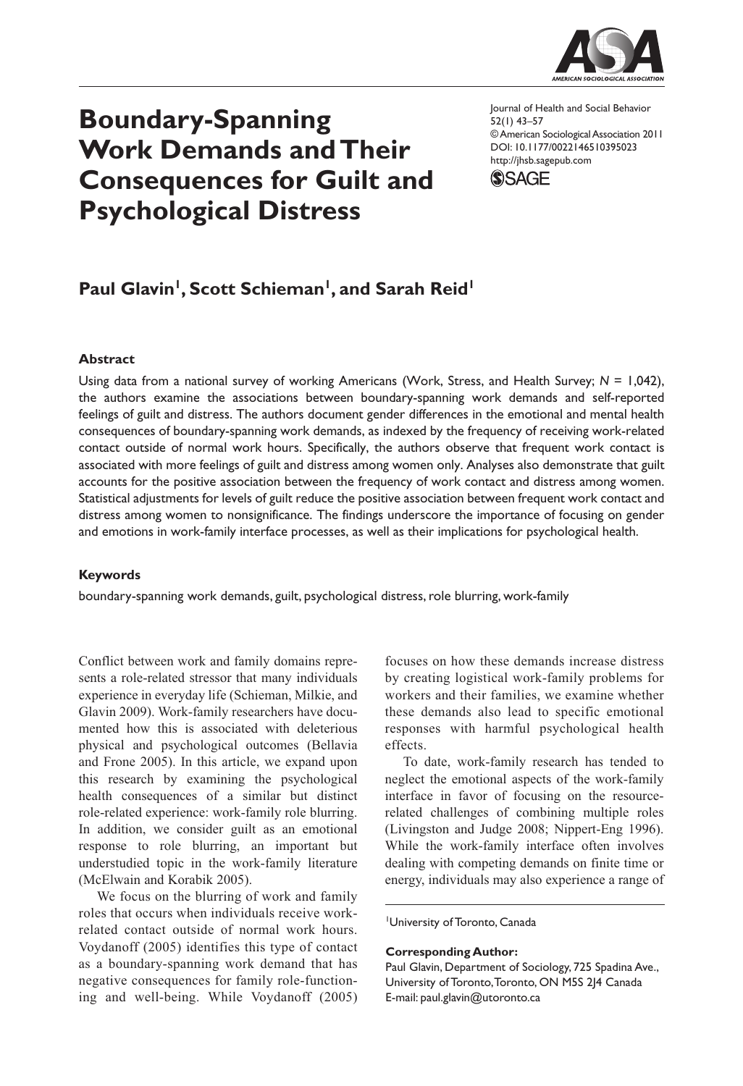

# **Boundary-Spanning Work Demands and Their Consequences for Guilt and Psychological Distress**

Journal of Health and Social Behavior 52(1) 43–57 © American Sociological Association 2011 DOI: 10.1177/0022146510395023 http://jhsb.sagepub.com



## Paul Glavin<sup>1</sup>, Scott Schieman<sup>1</sup>, and Sarah Reid<sup>1</sup>

#### **Abstract**

Using data from a national survey of working Americans (Work, Stress, and Health Survey; *N* = 1,042), the authors examine the associations between boundary-spanning work demands and self-reported feelings of guilt and distress. The authors document gender differences in the emotional and mental health consequences of boundary-spanning work demands, as indexed by the frequency of receiving work-related contact outside of normal work hours. Specifically, the authors observe that frequent work contact is associated with more feelings of guilt and distress among women only. Analyses also demonstrate that guilt accounts for the positive association between the frequency of work contact and distress among women. Statistical adjustments for levels of guilt reduce the positive association between frequent work contact and distress among women to nonsignificance. The findings underscore the importance of focusing on gender and emotions in work-family interface processes, as well as their implications for psychological health.

#### **Keywords**

boundary-spanning work demands, guilt, psychological distress, role blurring, work-family

Conflict between work and family domains represents a role-related stressor that many individuals experience in everyday life (Schieman, Milkie, and Glavin 2009). Work-family researchers have documented how this is associated with deleterious physical and psychological outcomes (Bellavia and Frone 2005). In this article, we expand upon this research by examining the psychological health consequences of a similar but distinct role-related experience: work-family role blurring. In addition, we consider guilt as an emotional response to role blurring, an important but understudied topic in the work-family literature (McElwain and Korabik 2005).

We focus on the blurring of work and family roles that occurs when individuals receive workrelated contact outside of normal work hours. Voydanoff (2005) identifies this type of contact as a boundary-spanning work demand that has negative consequences for family role-functioning and well-being. While Voydanoff (2005)

focuses on how these demands increase distress by creating logistical work-family problems for workers and their families, we examine whether these demands also lead to specific emotional responses with harmful psychological health effects.

To date, work-family research has tended to neglect the emotional aspects of the work-family interface in favor of focusing on the resourcerelated challenges of combining multiple roles (Livingston and Judge 2008; Nippert-Eng 1996). While the work-family interface often involves dealing with competing demands on finite time or energy, individuals may also experience a range of

University of Toronto, Canada

#### **Corresponding Author:**

Paul Glavin, Department of Sociology, 725 Spadina Ave., University of Toronto, Toronto, ON M5S 2J4 Canada E-mail: paul.glavin@utoronto.ca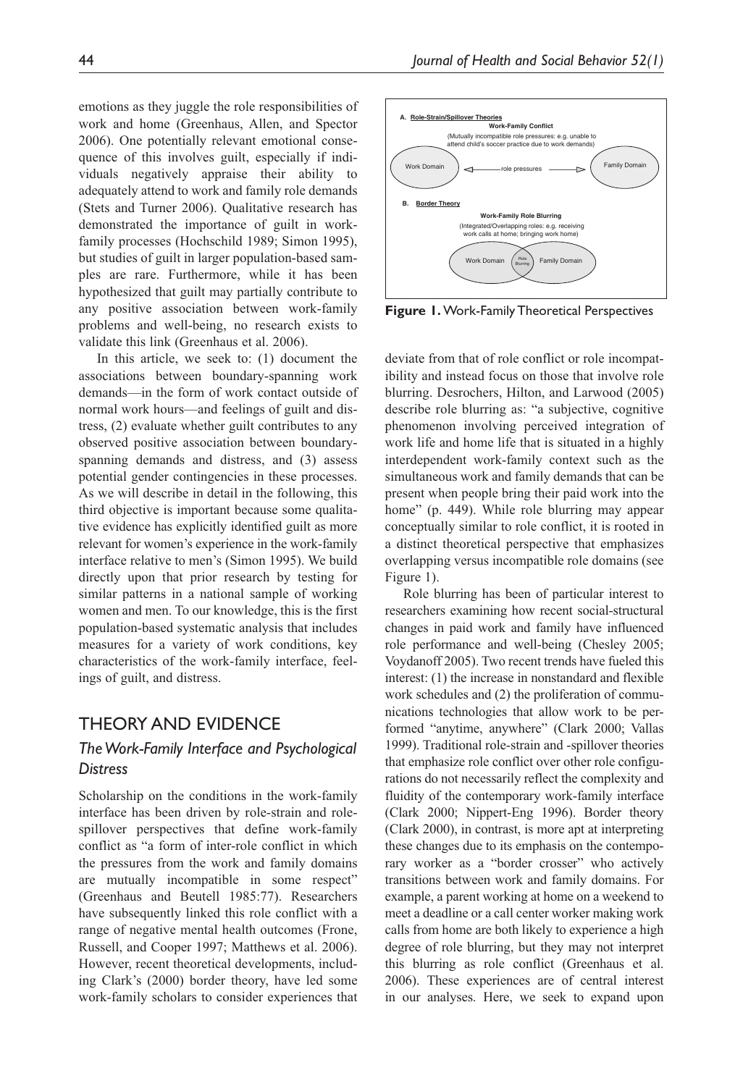emotions as they juggle the role responsibilities of work and home (Greenhaus, Allen, and Spector 2006). One potentially relevant emotional consequence of this involves guilt, especially if individuals negatively appraise their ability to adequately attend to work and family role demands (Stets and Turner 2006). Qualitative research has demonstrated the importance of guilt in workfamily processes (Hochschild 1989; Simon 1995), but studies of guilt in larger population-based samples are rare. Furthermore, while it has been hypothesized that guilt may partially contribute to any positive association between work-family problems and well-being, no research exists to validate this link (Greenhaus et al. 2006).

In this article, we seek to: (1) document the associations between boundary-spanning work demands—in the form of work contact outside of normal work hours—and feelings of guilt and distress, (2) evaluate whether guilt contributes to any observed positive association between boundaryspanning demands and distress, and (3) assess potential gender contingencies in these processes. As we will describe in detail in the following, this third objective is important because some qualitative evidence has explicitly identified guilt as more relevant for women's experience in the work-family interface relative to men's (Simon 1995). We build directly upon that prior research by testing for similar patterns in a national sample of working women and men. To our knowledge, this is the first population-based systematic analysis that includes measures for a variety of work conditions, key characteristics of the work-family interface, feelings of guilt, and distress.

## Theory And Evidence

## *The Work-Family Interface and Psychological Distress*

Scholarship on the conditions in the work-family interface has been driven by role-strain and rolespillover perspectives that define work-family conflict as "a form of inter-role conflict in which the pressures from the work and family domains are mutually incompatible in some respect" (Greenhaus and Beutell 1985:77). Researchers have subsequently linked this role conflict with a range of negative mental health outcomes (Frone, Russell, and Cooper 1997; Matthews et al. 2006). However, recent theoretical developments, including Clark's (2000) border theory, have led some work-family scholars to consider experiences that



**Figure 1.** Work-Family Theoretical Perspectives

deviate from that of role conflict or role incompatibility and instead focus on those that involve role blurring. Desrochers, Hilton, and Larwood (2005) describe role blurring as: "a subjective, cognitive phenomenon involving perceived integration of work life and home life that is situated in a highly interdependent work-family context such as the simultaneous work and family demands that can be present when people bring their paid work into the home" (p. 449). While role blurring may appear conceptually similar to role conflict, it is rooted in a distinct theoretical perspective that emphasizes overlapping versus incompatible role domains (see Figure 1).

Role blurring has been of particular interest to researchers examining how recent social-structural changes in paid work and family have influenced role performance and well-being (Chesley 2005; Voydanoff 2005). Two recent trends have fueled this interest: (1) the increase in nonstandard and flexible work schedules and (2) the proliferation of communications technologies that allow work to be performed "anytime, anywhere" (Clark 2000; Vallas 1999). Traditional role-strain and -spillover theories that emphasize role conflict over other role configurations do not necessarily reflect the complexity and fluidity of the contemporary work-family interface (Clark 2000; Nippert-Eng 1996). Border theory (Clark 2000), in contrast, is more apt at interpreting these changes due to its emphasis on the contemporary worker as a "border crosser" who actively transitions between work and family domains. For example, a parent working at home on a weekend to meet a deadline or a call center worker making work calls from home are both likely to experience a high degree of role blurring, but they may not interpret this blurring as role conflict (Greenhaus et al. 2006). These experiences are of central interest in our analyses. Here, we seek to expand upon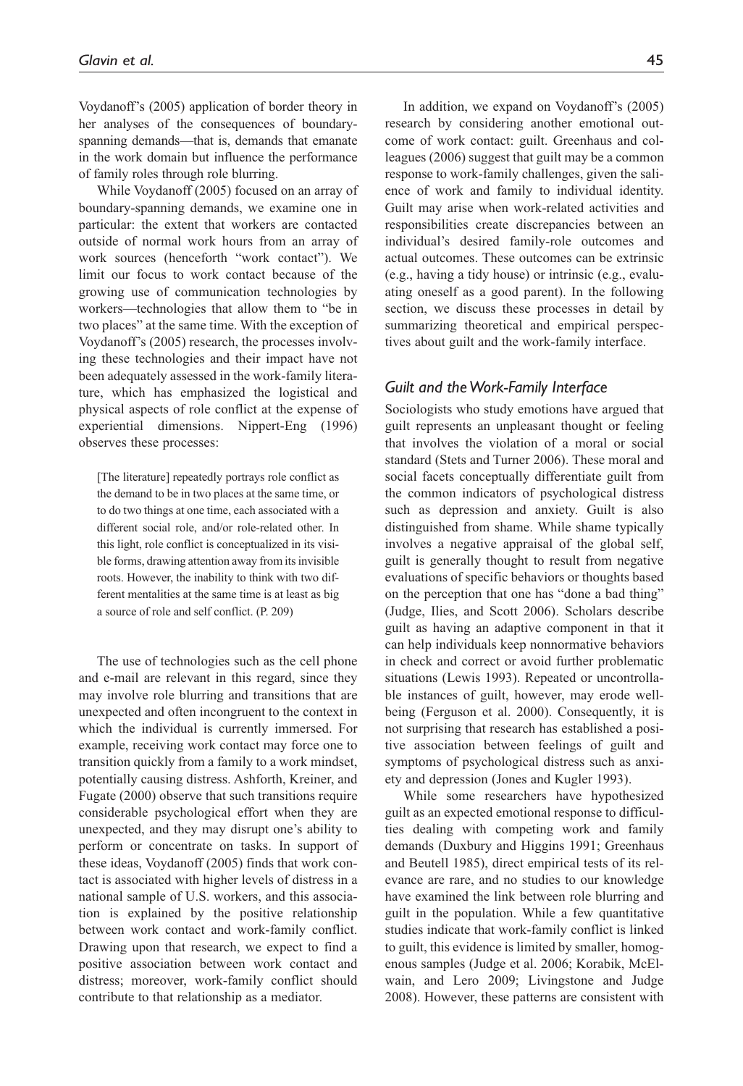Voydanoff's (2005) application of border theory in her analyses of the consequences of boundaryspanning demands—that is, demands that emanate in the work domain but influence the performance of family roles through role blurring.

While Voydanoff (2005) focused on an array of boundary-spanning demands, we examine one in particular: the extent that workers are contacted outside of normal work hours from an array of work sources (henceforth "work contact"). We limit our focus to work contact because of the growing use of communication technologies by workers—technologies that allow them to "be in two places" at the same time. With the exception of Voydanoff's (2005) research, the processes involving these technologies and their impact have not been adequately assessed in the work-family literature, which has emphasized the logistical and physical aspects of role conflict at the expense of experiential dimensions. Nippert-Eng (1996) observes these processes:

[The literature] repeatedly portrays role conflict as the demand to be in two places at the same time, or to do two things at one time, each associated with a different social role, and/or role-related other. In this light, role conflict is conceptualized in its visible forms, drawing attention away from its invisible roots. However, the inability to think with two different mentalities at the same time is at least as big a source of role and self conflict. (P. 209)

The use of technologies such as the cell phone and e-mail are relevant in this regard, since they may involve role blurring and transitions that are unexpected and often incongruent to the context in which the individual is currently immersed. For example, receiving work contact may force one to transition quickly from a family to a work mindset, potentially causing distress. Ashforth, Kreiner, and Fugate (2000) observe that such transitions require considerable psychological effort when they are unexpected, and they may disrupt one's ability to perform or concentrate on tasks. In support of these ideas, Voydanoff (2005) finds that work contact is associated with higher levels of distress in a national sample of U.S. workers, and this association is explained by the positive relationship between work contact and work-family conflict. Drawing upon that research, we expect to find a positive association between work contact and distress; moreover, work-family conflict should contribute to that relationship as a mediator.

In addition, we expand on Voydanoff's (2005) research by considering another emotional outcome of work contact: guilt. Greenhaus and colleagues (2006) suggest that guilt may be a common response to work-family challenges, given the salience of work and family to individual identity. Guilt may arise when work-related activities and responsibilities create discrepancies between an individual's desired family-role outcomes and actual outcomes. These outcomes can be extrinsic (e.g., having a tidy house) or intrinsic (e.g., evaluating oneself as a good parent). In the following section, we discuss these processes in detail by summarizing theoretical and empirical perspectives about guilt and the work-family interface.

#### *Guilt and the Work-Family Interface*

Sociologists who study emotions have argued that guilt represents an unpleasant thought or feeling that involves the violation of a moral or social standard (Stets and Turner 2006). These moral and social facets conceptually differentiate guilt from the common indicators of psychological distress such as depression and anxiety. Guilt is also distinguished from shame. While shame typically involves a negative appraisal of the global self, guilt is generally thought to result from negative evaluations of specific behaviors or thoughts based on the perception that one has "done a bad thing" (Judge, Ilies, and Scott 2006). Scholars describe guilt as having an adaptive component in that it can help individuals keep nonnormative behaviors in check and correct or avoid further problematic situations (Lewis 1993). Repeated or uncontrollable instances of guilt, however, may erode wellbeing (Ferguson et al. 2000). Consequently, it is not surprising that research has established a positive association between feelings of guilt and symptoms of psychological distress such as anxiety and depression (Jones and Kugler 1993).

While some researchers have hypothesized guilt as an expected emotional response to difficulties dealing with competing work and family demands (Duxbury and Higgins 1991; Greenhaus and Beutell 1985), direct empirical tests of its relevance are rare, and no studies to our knowledge have examined the link between role blurring and guilt in the population. While a few quantitative studies indicate that work-family conflict is linked to guilt, this evidence is limited by smaller, homogenous samples (Judge et al. 2006; Korabik, McElwain, and Lero 2009; Livingstone and Judge 2008). However, these patterns are consistent with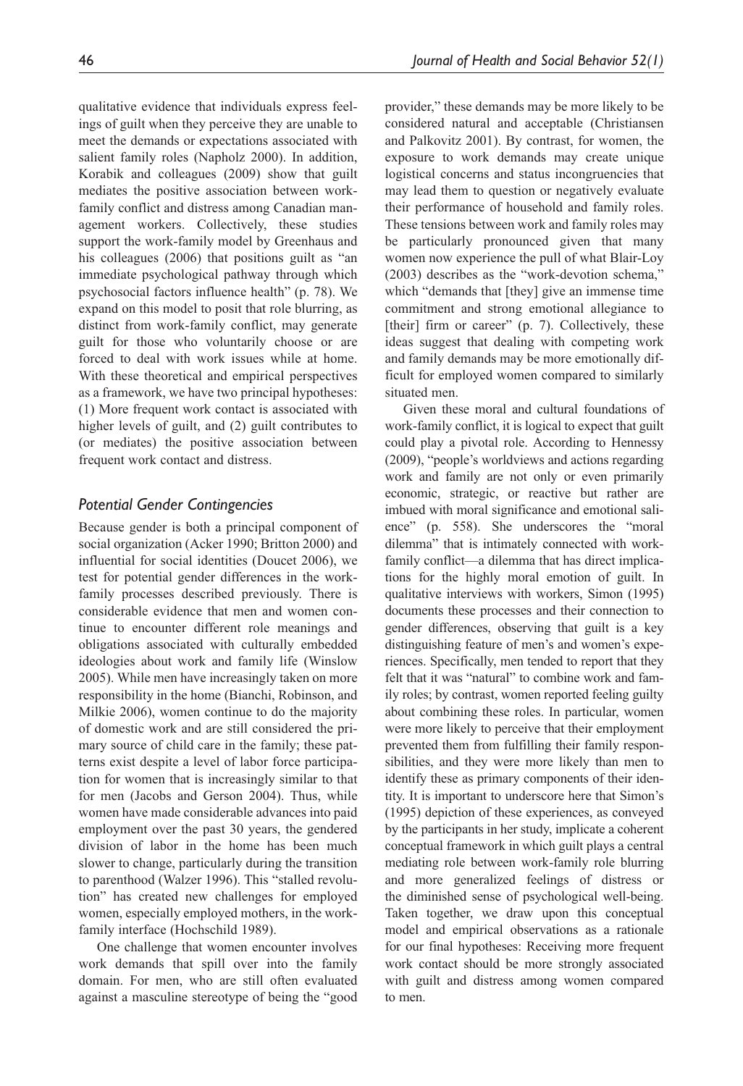qualitative evidence that individuals express feelings of guilt when they perceive they are unable to meet the demands or expectations associated with salient family roles (Napholz 2000). In addition, Korabik and colleagues (2009) show that guilt mediates the positive association between workfamily conflict and distress among Canadian management workers. Collectively, these studies support the work-family model by Greenhaus and his colleagues (2006) that positions guilt as "an immediate psychological pathway through which psychosocial factors influence health" (p. 78). We expand on this model to posit that role blurring, as distinct from work-family conflict, may generate guilt for those who voluntarily choose or are forced to deal with work issues while at home. With these theoretical and empirical perspectives as a framework, we have two principal hypotheses: (1) More frequent work contact is associated with higher levels of guilt, and (2) guilt contributes to (or mediates) the positive association between frequent work contact and distress.

#### *Potential Gender Contingencies*

Because gender is both a principal component of social organization (Acker 1990; Britton 2000) and influential for social identities (Doucet 2006), we test for potential gender differences in the workfamily processes described previously. There is considerable evidence that men and women continue to encounter different role meanings and obligations associated with culturally embedded ideologies about work and family life (Winslow 2005). While men have increasingly taken on more responsibility in the home (Bianchi, Robinson, and Milkie 2006), women continue to do the majority of domestic work and are still considered the primary source of child care in the family; these patterns exist despite a level of labor force participation for women that is increasingly similar to that for men (Jacobs and Gerson 2004). Thus, while women have made considerable advances into paid employment over the past 30 years, the gendered division of labor in the home has been much slower to change, particularly during the transition to parenthood (Walzer 1996). This "stalled revolution" has created new challenges for employed women, especially employed mothers, in the workfamily interface (Hochschild 1989).

One challenge that women encounter involves work demands that spill over into the family domain. For men, who are still often evaluated against a masculine stereotype of being the "good provider," these demands may be more likely to be considered natural and acceptable (Christiansen and Palkovitz 2001). By contrast, for women, the exposure to work demands may create unique logistical concerns and status incongruencies that may lead them to question or negatively evaluate their performance of household and family roles. These tensions between work and family roles may be particularly pronounced given that many women now experience the pull of what Blair-Loy (2003) describes as the "work-devotion schema," which "demands that [they] give an immense time commitment and strong emotional allegiance to [their] firm or career" (p. 7). Collectively, these ideas suggest that dealing with competing work and family demands may be more emotionally difficult for employed women compared to similarly situated men.

Given these moral and cultural foundations of work-family conflict, it is logical to expect that guilt could play a pivotal role. According to Hennessy (2009), "people's worldviews and actions regarding work and family are not only or even primarily economic, strategic, or reactive but rather are imbued with moral significance and emotional salience" (p. 558). She underscores the "moral dilemma" that is intimately connected with workfamily conflict—a dilemma that has direct implications for the highly moral emotion of guilt. In qualitative interviews with workers, Simon (1995) documents these processes and their connection to gender differences, observing that guilt is a key distinguishing feature of men's and women's experiences. Specifically, men tended to report that they felt that it was "natural" to combine work and family roles; by contrast, women reported feeling guilty about combining these roles. In particular, women were more likely to perceive that their employment prevented them from fulfilling their family responsibilities, and they were more likely than men to identify these as primary components of their identity. It is important to underscore here that Simon's (1995) depiction of these experiences, as conveyed by the participants in her study, implicate a coherent conceptual framework in which guilt plays a central mediating role between work-family role blurring and more generalized feelings of distress or the diminished sense of psychological well-being. Taken together, we draw upon this conceptual model and empirical observations as a rationale for our final hypotheses: Receiving more frequent work contact should be more strongly associated with guilt and distress among women compared to men.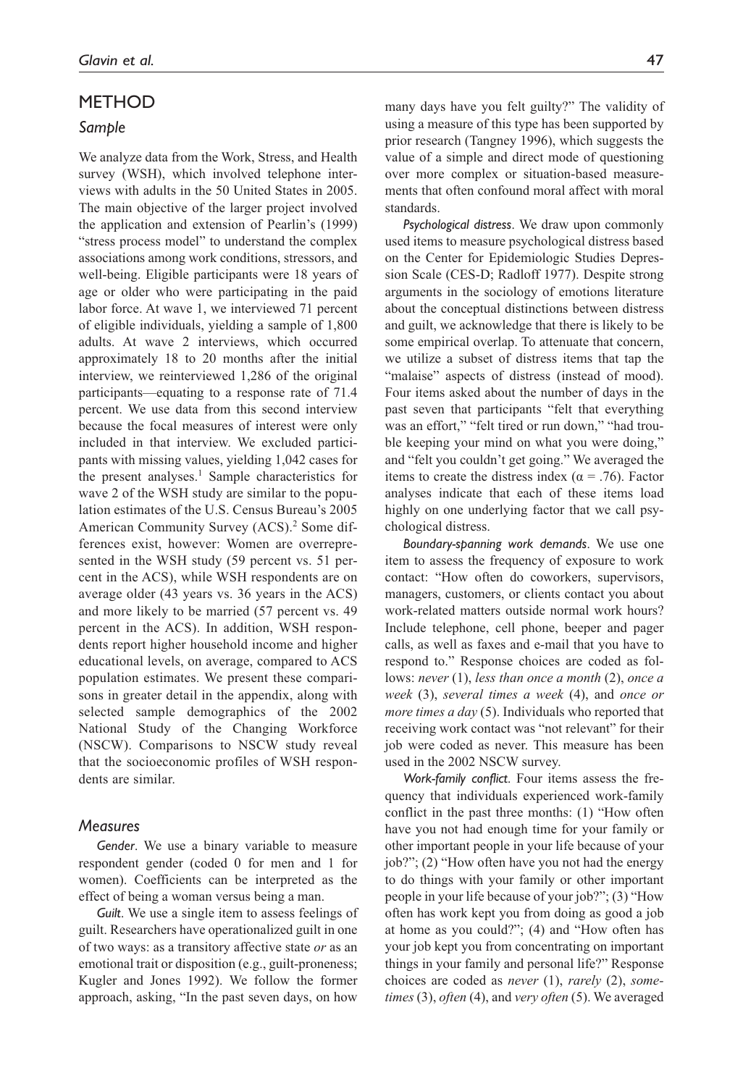#### **METHOD**

#### *Sample*

We analyze data from the Work, Stress, and Health survey (WSH), which involved telephone interviews with adults in the 50 United States in 2005. The main objective of the larger project involved the application and extension of Pearlin's (1999) "stress process model" to understand the complex associations among work conditions, stressors, and well-being. Eligible participants were 18 years of age or older who were participating in the paid labor force. At wave 1, we interviewed 71 percent of eligible individuals, yielding a sample of 1,800 adults. At wave 2 interviews, which occurred approximately 18 to 20 months after the initial interview, we reinterviewed 1,286 of the original participants—equating to a response rate of 71.4 percent. We use data from this second interview because the focal measures of interest were only included in that interview. We excluded participants with missing values, yielding 1,042 cases for the present analyses.<sup>1</sup> Sample characteristics for wave 2 of the WSH study are similar to the population estimates of the U.S. Census Bureau's 2005 American Community Survey (ACS).<sup>2</sup> Some differences exist, however: Women are overrepresented in the WSH study (59 percent vs. 51 percent in the ACS), while WSH respondents are on average older (43 years vs. 36 years in the ACS) and more likely to be married (57 percent vs. 49 percent in the ACS). In addition, WSH respondents report higher household income and higher educational levels, on average, compared to ACS population estimates. We present these comparisons in greater detail in the appendix, along with selected sample demographics of the 2002 National Study of the Changing Workforce (NSCW). Comparisons to NSCW study reveal that the socioeconomic profiles of WSH respondents are similar.

#### *Measures*

*Gender*. We use a binary variable to measure respondent gender (coded 0 for men and 1 for women). Coefficients can be interpreted as the effect of being a woman versus being a man.

*Guilt*. We use a single item to assess feelings of guilt. Researchers have operationalized guilt in one of two ways: as a transitory affective state *or* as an emotional trait or disposition (e.g., guilt-proneness; Kugler and Jones 1992). We follow the former approach, asking, "In the past seven days, on how

many days have you felt guilty?" The validity of using a measure of this type has been supported by prior research (Tangney 1996), which suggests the value of a simple and direct mode of questioning over more complex or situation-based measurements that often confound moral affect with moral standards.

*Psychological distress*. We draw upon commonly used items to measure psychological distress based on the Center for Epidemiologic Studies Depression Scale (CES-D; Radloff 1977). Despite strong arguments in the sociology of emotions literature about the conceptual distinctions between distress and guilt, we acknowledge that there is likely to be some empirical overlap. To attenuate that concern, we utilize a subset of distress items that tap the "malaise" aspects of distress (instead of mood). Four items asked about the number of days in the past seven that participants "felt that everything was an effort," "felt tired or run down," "had trouble keeping your mind on what you were doing," and "felt you couldn't get going." We averaged the items to create the distress index ( $\alpha$  = .76). Factor analyses indicate that each of these items load highly on one underlying factor that we call psychological distress.

*Boundary-spanning work demands*. We use one item to assess the frequency of exposure to work contact: "How often do coworkers, supervisors, managers, customers, or clients contact you about work-related matters outside normal work hours? Include telephone, cell phone, beeper and pager calls, as well as faxes and e-mail that you have to respond to." Response choices are coded as follows: *never* (1), *less than once a month* (2), *once a week* (3), *several times a week* (4), and *once or more times a day* (5). Individuals who reported that receiving work contact was "not relevant" for their job were coded as never. This measure has been used in the 2002 NSCW survey.

*Work-family conflict*. Four items assess the frequency that individuals experienced work-family conflict in the past three months: (1) "How often have you not had enough time for your family or other important people in your life because of your job?"; (2) "How often have you not had the energy to do things with your family or other important people in your life because of your job?"; (3) "How often has work kept you from doing as good a job at home as you could?"; (4) and "How often has your job kept you from concentrating on important things in your family and personal life?" Response choices are coded as *never* (1), *rarely* (2), *sometimes* (3), *often* (4), and *very often* (5). We averaged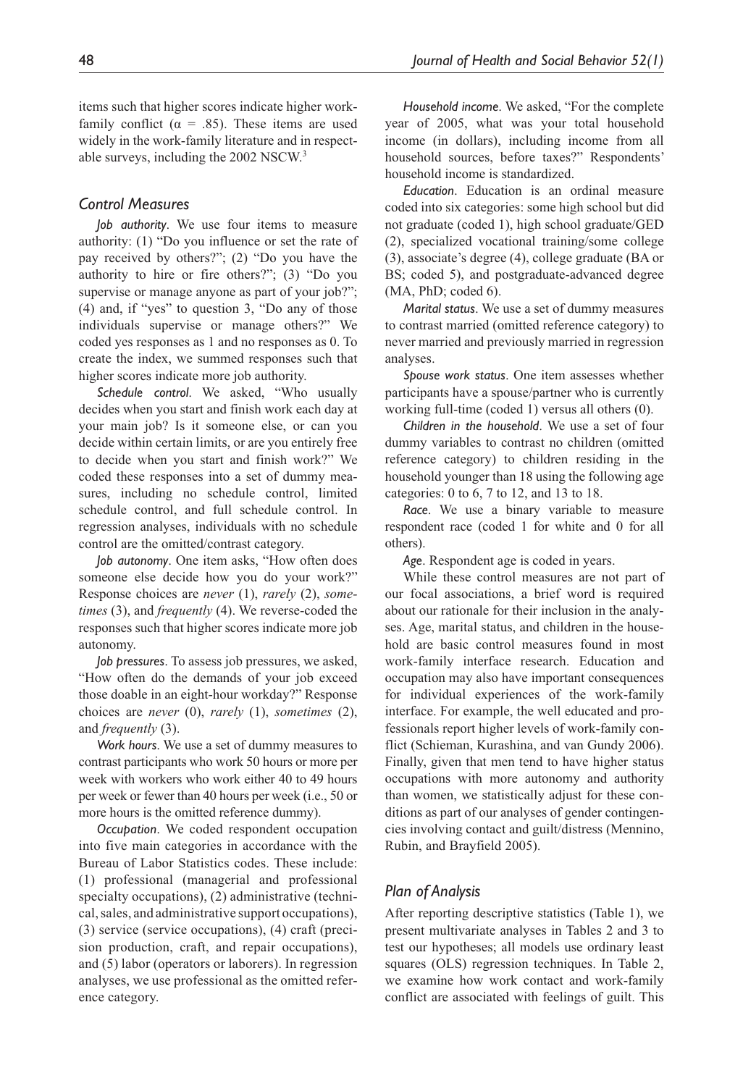items such that higher scores indicate higher workfamily conflict ( $\alpha = .85$ ). These items are used widely in the work-family literature and in respectable surveys, including the 2002 NSCW.3

#### *Control Measures*

*Job authority*. We use four items to measure authority: (1) "Do you influence or set the rate of pay received by others?"; (2) "Do you have the authority to hire or fire others?"; (3) "Do you supervise or manage anyone as part of your job?"; (4) and, if "yes" to question 3, "Do any of those individuals supervise or manage others?" We coded yes responses as 1 and no responses as 0. To create the index, we summed responses such that higher scores indicate more job authority.

*Schedule control*. We asked, "Who usually decides when you start and finish work each day at your main job? Is it someone else, or can you decide within certain limits, or are you entirely free to decide when you start and finish work?" We coded these responses into a set of dummy measures, including no schedule control, limited schedule control, and full schedule control. In regression analyses, individuals with no schedule control are the omitted/contrast category.

*Job autonomy*. One item asks, "How often does someone else decide how you do your work?" Response choices are *never* (1), *rarely* (2), *sometimes* (3), and *frequently* (4). We reverse-coded the responses such that higher scores indicate more job autonomy.

*Job pressures*. To assess job pressures, we asked, "How often do the demands of your job exceed those doable in an eight-hour workday?" Response choices are *never* (0), *rarely* (1), *sometimes* (2), and *frequently* (3).

*Work hours*. We use a set of dummy measures to contrast participants who work 50 hours or more per week with workers who work either 40 to 49 hours per week or fewer than 40 hours per week (i.e., 50 or more hours is the omitted reference dummy).

*Occupation*. We coded respondent occupation into five main categories in accordance with the Bureau of Labor Statistics codes. These include: (1) professional (managerial and professional specialty occupations), (2) administrative (technical, sales, and administrative support occupations), (3) service (service occupations), (4) craft (precision production, craft, and repair occupations), and (5) labor (operators or laborers). In regression analyses, we use professional as the omitted reference category.

*Household income*. We asked, "For the complete year of 2005, what was your total household income (in dollars), including income from all household sources, before taxes?" Respondents' household income is standardized.

*Education*. Education is an ordinal measure coded into six categories: some high school but did not graduate (coded 1), high school graduate/GED (2), specialized vocational training/some college (3), associate's degree (4), college graduate (BA or BS; coded 5), and postgraduate-advanced degree  $(MA, PhD; coded 6).$ 

*Marital status*. We use a set of dummy measures to contrast married (omitted reference category) to never married and previously married in regression analyses.

*Spouse work status*. One item assesses whether participants have a spouse/partner who is currently working full-time (coded 1) versus all others (0).

*Children in the household*. We use a set of four dummy variables to contrast no children (omitted reference category) to children residing in the household younger than 18 using the following age categories: 0 to 6, 7 to 12, and 13 to 18.

*Race*. We use a binary variable to measure respondent race (coded 1 for white and 0 for all others).

*Age*. Respondent age is coded in years.

While these control measures are not part of our focal associations, a brief word is required about our rationale for their inclusion in the analyses. Age, marital status, and children in the household are basic control measures found in most work-family interface research. Education and occupation may also have important consequences for individual experiences of the work-family interface. For example, the well educated and professionals report higher levels of work-family conflict (Schieman, Kurashina, and van Gundy 2006). Finally, given that men tend to have higher status occupations with more autonomy and authority than women, we statistically adjust for these conditions as part of our analyses of gender contingencies involving contact and guilt/distress (Mennino, Rubin, and Brayfield 2005).

#### *Plan of Analysis*

After reporting descriptive statistics (Table 1), we present multivariate analyses in Tables 2 and 3 to test our hypotheses; all models use ordinary least squares (OLS) regression techniques. In Table 2, we examine how work contact and work-family conflict are associated with feelings of guilt. This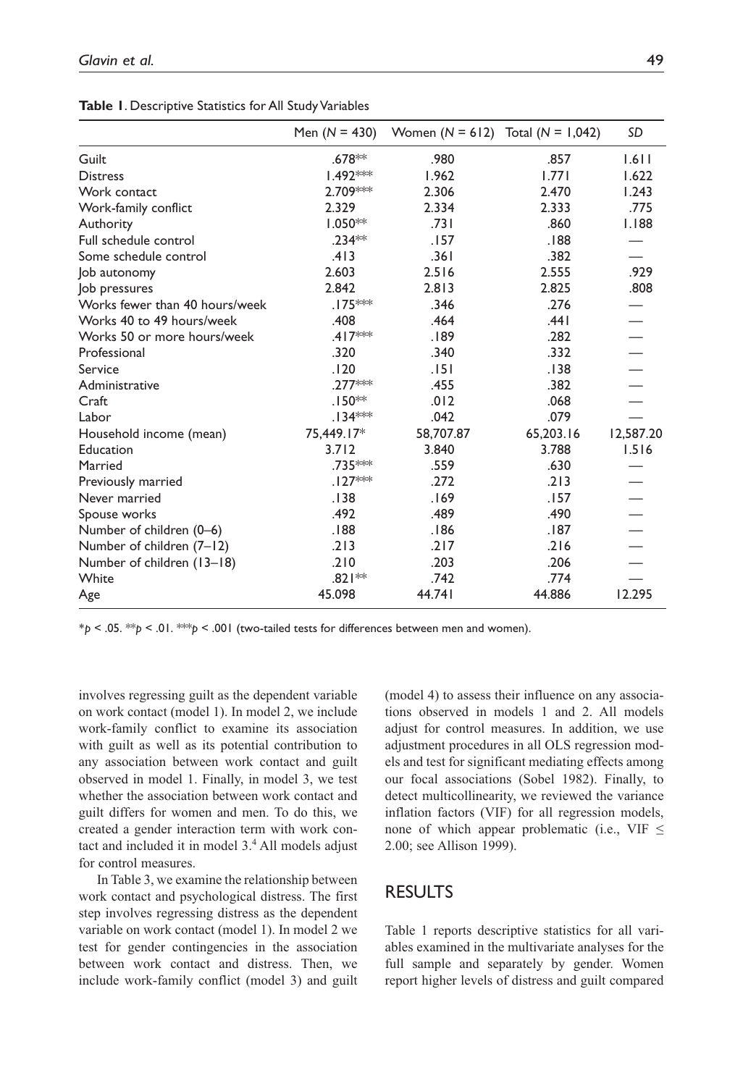|                                | Men $(N = 430)$      | Women $(N = 612)$ Total $(N = 1,042)$ |           | <b>SD</b> |
|--------------------------------|----------------------|---------------------------------------|-----------|-----------|
| Guilt                          | .678**               | .980                                  | .857      | 1.611     |
| <b>Distress</b>                | $1.492***$           | 1.962                                 | 1.771     | 1.622     |
| Work contact                   | 2.709***             | 2.306                                 | 2.470     | 1.243     |
| Work-family conflict           | 2.329                | 2.334                                 | 2.333     | .775      |
| Authority                      | $1.050**$            | .731                                  | .860      | 1.188     |
| Full schedule control          | $.234**$             | .157                                  | .188      |           |
| Some schedule control          | .413                 | .361                                  | .382      |           |
| Job autonomy                   | 2.603                | 2.516                                 | 2.555     | .929      |
| Job pressures                  | 2.842                | 2.813                                 | 2.825     | .808      |
| Works fewer than 40 hours/week | .175 <sup>*</sup> ** | .346                                  | .276      |           |
| Works 40 to 49 hours/week      | .408                 | .464                                  | .441      |           |
| Works 50 or more hours/week    | $.417***$            | .189                                  | .282      |           |
| Professional                   | .320                 | .340                                  | .332      |           |
| Service                        | .120                 | . 151                                 | .138      |           |
| Administrative                 | $.277***$            | .455                                  | .382      |           |
| Craft                          | $.150**$             | .012                                  | .068      |           |
| Labor                          | $.134***$            | .042                                  | .079      |           |
| Household income (mean)        | 75,449.17*           | 58,707.87                             | 65,203.16 | 12,587.20 |
| Education                      | 3.712                | 3.840                                 | 3.788     | 1.516     |
| Married                        | .735***              | .559                                  | .630      |           |
| Previously married             | $.127***$            | .272                                  | .213      |           |
| Never married                  | .138                 | .169                                  | .157      |           |
| Spouse works                   | .492                 | .489                                  | .490      |           |
| Number of children (0-6)       | .188                 | .186                                  | .187      |           |
| Number of children (7-12)      | .213                 | .217                                  | .216      |           |
| Number of children (13-18)     | .210                 | .203                                  | .206      |           |
| White                          | $.821**$             | .742                                  | .774      |           |
| Age                            | 45.098               | 44.741                                | 44.886    | 12.295    |

**Table 1**. Descriptive Statistics for All Study Variables

\**p* < .05. \*\**p* < .01. \*\*\**p* < .001 (two-tailed tests for differences between men and women).

involves regressing guilt as the dependent variable on work contact (model 1). In model 2, we include work-family conflict to examine its association with guilt as well as its potential contribution to any association between work contact and guilt observed in model 1. Finally, in model 3, we test whether the association between work contact and guilt differs for women and men. To do this, we created a gender interaction term with work contact and included it in model 3.4 All models adjust for control measures.

In Table 3, we examine the relationship between work contact and psychological distress. The first step involves regressing distress as the dependent variable on work contact (model 1). In model 2 we test for gender contingencies in the association between work contact and distress. Then, we include work-family conflict (model 3) and guilt (model 4) to assess their influence on any associations observed in models 1 and 2. All models adjust for control measures. In addition, we use adjustment procedures in all OLS regression models and test for significant mediating effects among our focal associations (Sobel 1982). Finally, to detect multicollinearity, we reviewed the variance inflation factors (VIF) for all regression models, none of which appear problematic (i.e., VIF  $\leq$ 2.00; see Allison 1999).

## **RESULTS**

Table 1 reports descriptive statistics for all variables examined in the multivariate analyses for the full sample and separately by gender. Women report higher levels of distress and guilt compared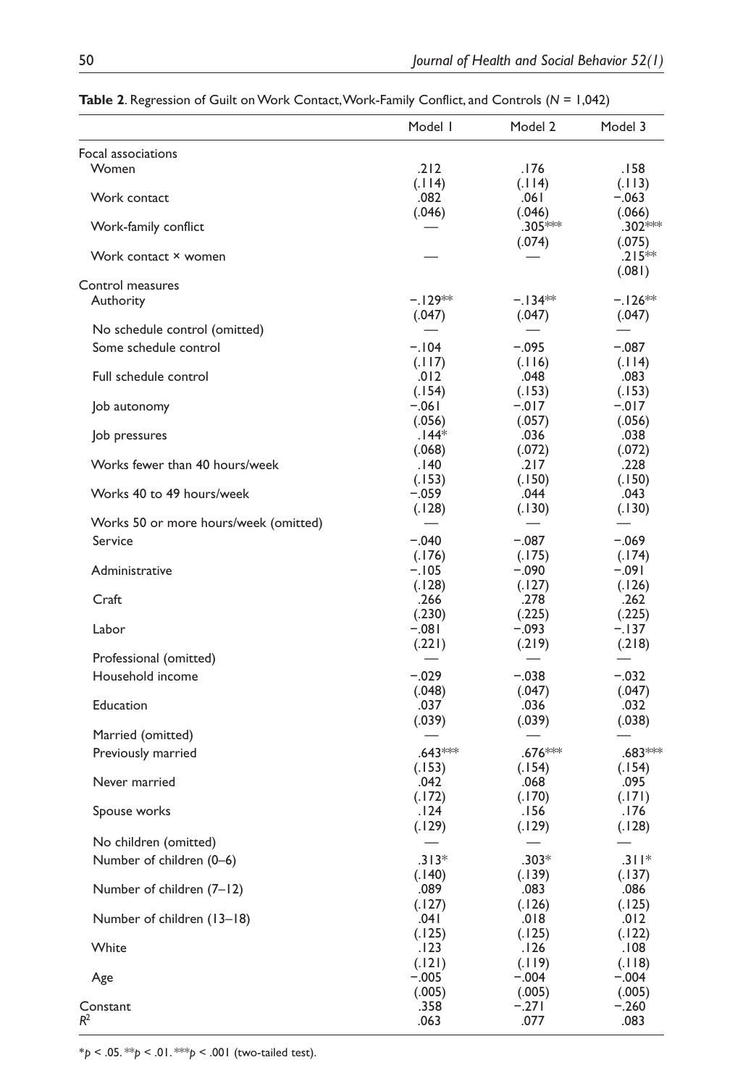|                                       | Model I   | Model 2             | Model 3                  |
|---------------------------------------|-----------|---------------------|--------------------------|
| Focal associations                    |           |                     |                          |
| Women                                 | .212      | .176                | .158                     |
|                                       | (.114)    | (.114)              | (.113)                   |
| Work contact                          | .082      | ا 06.               | $-.063$                  |
|                                       | (.046)    | (.046)              | (.066)                   |
| Work-family conflict                  |           | .305 <sup>***</sup> | .302***                  |
|                                       |           | (.074)              | (.075)                   |
| Work contact × women                  |           |                     | $.215***$                |
| Control measures                      |           |                     | (.081)                   |
| Authority                             | $-.129**$ | $-134**$            | $-.126**$                |
|                                       | (.047)    | (.047)              | (.047)                   |
| No schedule control (omitted)         |           |                     |                          |
| Some schedule control                 | $-.104$   | $-.095$             |                          |
|                                       |           |                     | $-.087$                  |
|                                       | (.117)    | (.116)              | (.114)                   |
| Full schedule control                 | .012      | .048                | .083                     |
|                                       | (.154)    | (.153)              | (.153)                   |
| Job autonomy                          | $-.061$   | $-.017$             | $-.017$                  |
|                                       | (.056)    | (.057)              | (.056)                   |
| Job pressures                         | $.144*$   | .036                | .038                     |
|                                       | (.068)    | (.072)              | (.072)                   |
| Works fewer than 40 hours/week        | 140.      | .217                | .228                     |
|                                       | (.153)    | (.150)              | (.150)                   |
| Works 40 to 49 hours/week             | -.059     | .044                | .043                     |
|                                       | (.128)    | (.130)              | (.130)                   |
| Works 50 or more hours/week (omitted) |           |                     |                          |
| Service                               | $-.040$   | $-.087$             | $-.069$                  |
|                                       |           |                     |                          |
|                                       | (.176)    | (.175)              | (.174)                   |
| Administrative                        | -. 105    | -.090               | -.091                    |
|                                       | (.128)    | (.127)              | (.126)                   |
| Craft                                 | .266      | .278                | .262                     |
|                                       | (.230)    | (.225)              | (.225)                   |
| Labor                                 | $-.081$   | $-.093$             | $-.137$                  |
|                                       | (.221)    | (.219)              | (.218)                   |
| Professional (omitted)                |           |                     | $\overline{\phantom{0}}$ |
| Household income                      | $-.029$   | $-.038$             | $-.032$                  |
|                                       | (.048)    | (.047)              | (.047)                   |
| Education                             | .037      | .036                | .032                     |
|                                       | (.039)    | (.039)              | (.038)                   |
| Married (omitted)                     |           |                     |                          |
| Previously married                    | $.643***$ | .676***             | .683***                  |
|                                       |           |                     |                          |
|                                       | (.153)    | (.154)              | (.154)                   |
| Never married                         | .042      | .068                | .095                     |
|                                       | (.172)    | (.170)              | (.171)                   |
| Spouse works                          | .124      | 156.                | .176                     |
|                                       | (.129)    | (.129)              | (.128)                   |
| No children (omitted)                 |           |                     |                          |
| Number of children (0-6)              | $.313*$   | $.303*$             | $.311*$                  |
|                                       | (.140)    | (.139)              | (.137)                   |
| Number of children (7-12)             | .089      | .083                | .086                     |
|                                       | (.127)    | (.126)              | (.125)                   |
| Number of children (13-18)            | .041      | .018                | .012                     |
|                                       | (.125)    | (.125)              | (.122)                   |
|                                       |           |                     |                          |
| White                                 | .123      | .126                | .108                     |
|                                       | (.121)    | (.119)              | (.118)                   |
| Age                                   | $-.005$   | $-.004$             | $-.004$                  |
|                                       | (.005)    | (.005)              | (.005)                   |
| Constant                              | .358      | $-.271$             | $-.260$                  |
| $R^2$                                 | .063      | .077                | .083                     |

**Table 2**. Regression of Guilt on Work Contact, Work-Family Conflict, and Controls (*N* = 1,042)

\**p* < .05. \*\**p* < .01. \*\*\**p* < .001 (two-tailed test).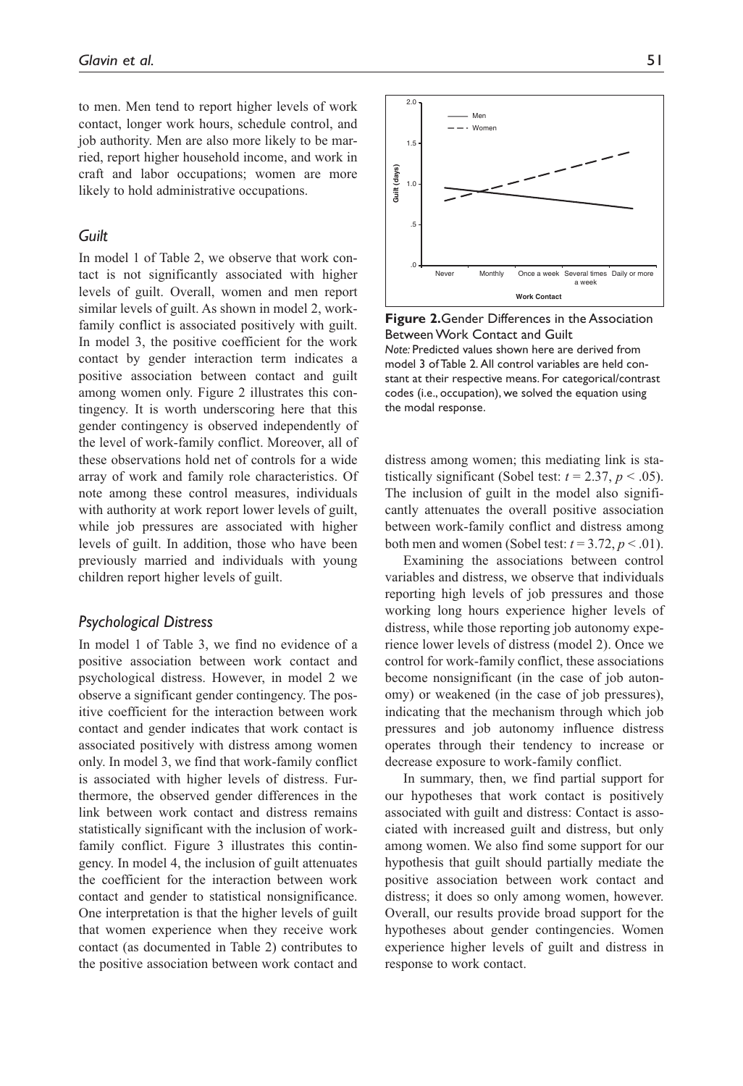to men. Men tend to report higher levels of work contact, longer work hours, schedule control, and job authority. Men are also more likely to be married, report higher household income, and work in craft and labor occupations; women are more likely to hold administrative occupations.

### *Guilt*

In model 1 of Table 2, we observe that work contact is not significantly associated with higher levels of guilt. Overall, women and men report similar levels of guilt. As shown in model 2, workfamily conflict is associated positively with guilt. In model 3, the positive coefficient for the work contact by gender interaction term indicates a positive association between contact and guilt among women only. Figure 2 illustrates this contingency. It is worth underscoring here that this gender contingency is observed independently of the level of work-family conflict. Moreover, all of these observations hold net of controls for a wide array of work and family role characteristics. Of note among these control measures, individuals with authority at work report lower levels of guilt, while job pressures are associated with higher levels of guilt. In addition, those who have been previously married and individuals with young children report higher levels of guilt.

#### *Psychological Distress*

In model 1 of Table 3, we find no evidence of a positive association between work contact and psychological distress. However, in model 2 we observe a significant gender contingency. The positive coefficient for the interaction between work contact and gender indicates that work contact is associated positively with distress among women only. In model 3, we find that work-family conflict is associated with higher levels of distress. Furthermore, the observed gender differences in the link between work contact and distress remains statistically significant with the inclusion of workfamily conflict. Figure 3 illustrates this contingency. In model 4, the inclusion of guilt attenuates the coefficient for the interaction between work contact and gender to statistical nonsignificance. One interpretation is that the higher levels of guilt that women experience when they receive work contact (as documented in Table 2) contributes to the positive association between work contact and



**Figure 2.**Gender Differences in the Association Between Work Contact and Guilt *Note:* Predicted values shown here are derived from model 3 of Table 2. All control variables are held constant at their respective means. For categorical/contrast codes (i.e., occupation), we solved the equation using the modal response.

distress among women; this mediating link is statistically significant (Sobel test:  $t = 2.37$ ,  $p < .05$ ). The inclusion of guilt in the model also significantly attenuates the overall positive association between work-family conflict and distress among both men and women (Sobel test:  $t = 3.72$ ,  $p < .01$ ).

Examining the associations between control variables and distress, we observe that individuals reporting high levels of job pressures and those working long hours experience higher levels of distress, while those reporting job autonomy experience lower levels of distress (model 2). Once we control for work-family conflict, these associations become nonsignificant (in the case of job autonomy) or weakened (in the case of job pressures), indicating that the mechanism through which job pressures and job autonomy influence distress operates through their tendency to increase or decrease exposure to work-family conflict.

In summary, then, we find partial support for our hypotheses that work contact is positively associated with guilt and distress: Contact is associated with increased guilt and distress, but only among women. We also find some support for our hypothesis that guilt should partially mediate the positive association between work contact and distress; it does so only among women, however. Overall, our results provide broad support for the hypotheses about gender contingencies. Women experience higher levels of guilt and distress in response to work contact.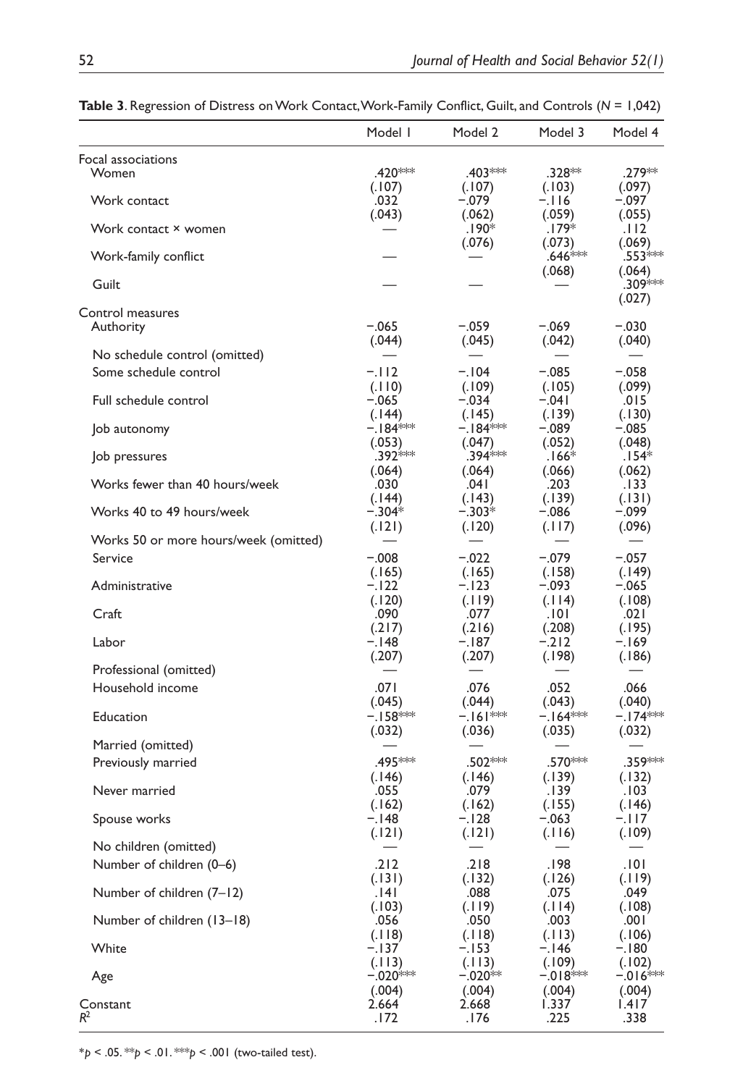|                                       | Model I                        | Model 2                       | Model 3                       | Model 4                                  |
|---------------------------------------|--------------------------------|-------------------------------|-------------------------------|------------------------------------------|
| Focal associations<br><b>Women</b>    | .420***                        | .403 ***                      | .328**                        | .279**                                   |
| Work contact                          | (.107)<br>.032<br>(.043)       | (.107)<br>$-.079$<br>(.062)   | (.103)<br>$-.116$<br>(.059)   | (.097)<br>-.097<br>(.055)                |
| Work contact × women                  |                                | .190*<br>(.076)               | .179*<br>(.073)               | . 112<br>(.069)                          |
| Work-family conflict                  |                                |                               | $.646***$                     | .553 <sup>≱⇔⇔</sup>                      |
| Guilt                                 |                                |                               | (.068)                        | (.064)<br>.309***<br>(.027)              |
| Control measures<br>Authority         | $-.065$<br>(.044)              | $-.059$<br>(.045)             | -.069<br>(.042)               | -.030<br>(.040)                          |
| No schedule control (omitted)         |                                |                               |                               |                                          |
| Some schedule control                 | $-112$<br>(.110)               | $-.104$<br>(.109)             | $-.085$<br>(.105)             | $-.058$<br>(.099)                        |
| Full schedule control                 | $-.065$<br>(.144)              | $-.034$<br>(.145)             | $-.041$<br>(.139)             | .015<br>(.130)                           |
| Job autonomy                          | $-184$ **                      | $-184$ **                     | $-.089$                       | $-.085$                                  |
| Job pressures                         | (.053)<br>.392***<br>(.064)    | (.047)<br>.394 ***<br>(.064)  | (.052)<br>$.166*$<br>(.066)   | (.048)<br>154*.<br>(.062)                |
| Works fewer than 40 hours/week        | .030                           | .041                          | .203                          | .133                                     |
| Works 40 to 49 hours/week             | (.144)<br>$-.304*$<br>(.121)   | (.143)<br>$-.303*$<br>(.120)  | (.139)<br>-.086<br>(.117)     | (.131)<br>-.099<br>(.096)                |
| Works 50 or more hours/week (omitted) |                                |                               |                               |                                          |
| Service                               | $-.008$                        | $-.022$                       | $-.079$                       | $-.057$                                  |
| Administrative                        | (.165)<br>-.122<br>(.120)      | (.165)<br>$-.123$<br>(.119)   | (.158)<br>-.093<br>(.114)     | (.149)<br>-.065<br>(.108)                |
| Craft                                 | .090                           | .077                          | .101                          | .021                                     |
| Labor                                 | (.217)<br>-.148<br>(.207)      | (.216)<br>-. 187<br>(.207)    | (.208)<br>$-.212$<br>(.198)   | (.195)<br>-.169<br>(.186)                |
| Professional (omitted)                |                                |                               |                               |                                          |
| Household income                      | .071                           | .076                          | .052                          | .066                                     |
| Education                             | (.045)<br>–.⊺58***<br>(.032)   | (.044)<br>$-161***$<br>(.036) | (.043)<br>$-164***$<br>(.035) | (.040)<br>–.I74 <sup>≭∻≭</sup><br>(.032) |
| Married (omitted)                     |                                |                               |                               |                                          |
| Previously married                    | .495***<br>(.146)              | .502***<br>(.146)             | .570***<br>(.139)             | .359***<br>(.132)                        |
| Never married                         | .055                           | .079                          | .139                          | .103                                     |
| Spouse works                          | (.162)<br>-.148                | (.162)<br>$-.128$             | (.155)<br>$-.063$             | (.146)<br>$-.117$                        |
| No children (omitted)                 | (.121)                         | (.121)                        | (.116)                        | (.109)                                   |
| Number of children (0–6)              | .212                           | .218                          | .198                          | .101                                     |
| Number of children (7-12)             | (.131)<br>.141<br>(.103)       | (.132)<br>.088<br>(.119)      | (.126)<br>.075<br>(.114)      | (.119)<br>.049                           |
| Number of children (13-18)            | .056<br>(.118)                 | .050<br>(.118)                | .003<br>(.113)                | (.108)<br>.001<br>(.106)                 |
| White                                 | $-.137$                        | $-.153$                       | -.146                         | $-.180$                                  |
| Age                                   | (.113)<br>$-.020***$<br>(.004) | (.113)<br>$-.020**$<br>(.004) | (.109)<br>–.018***<br>(.004)  | (.102)<br>$-016$ **<br>(.004)            |
| Constant<br>$R^2$                     | 2.664<br>.172                  | 2.668<br>.176                 | 1.337<br>.225                 | I.417<br>.338                            |

**Table 3**. Regression of Distress on Work Contact, Work-Family Conflict, Guilt, and Controls (*N* = 1,042)

\**p* < .05. \*\**p* < .01. \*\*\**p* < .001 (two-tailed test).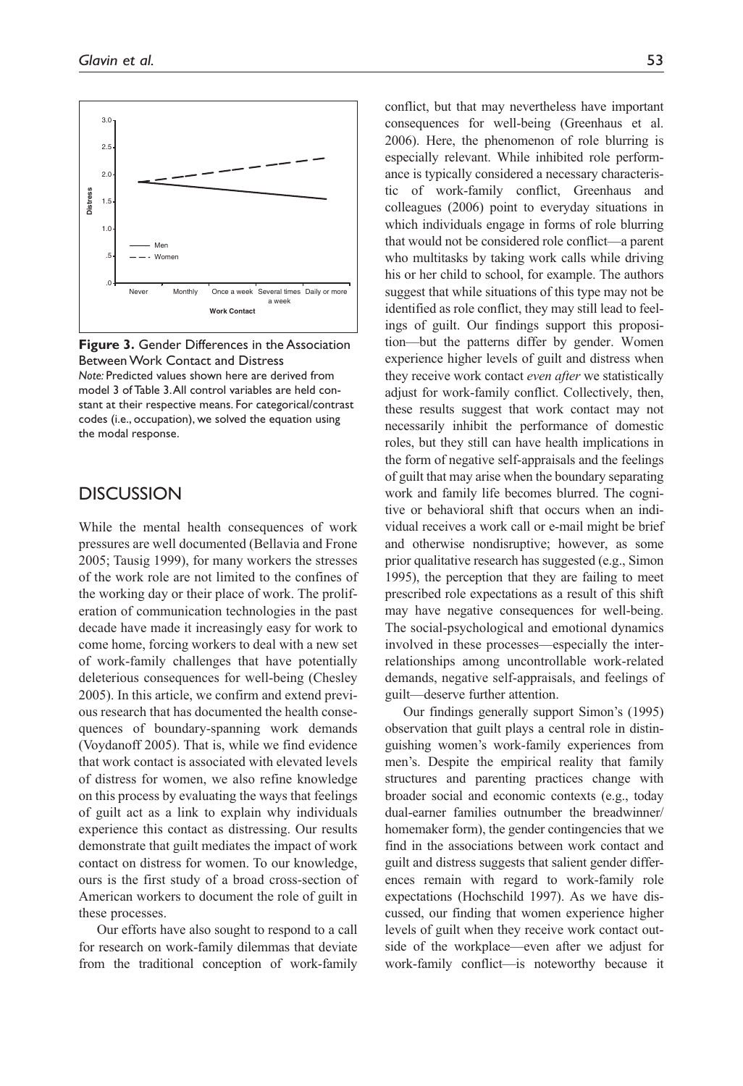

**Figure 3.** Gender Differences in the Association Between Work Contact and Distress *Note:* Predicted values shown here are derived from model 3 of Table 3. All control variables are held constant at their respective means. For categorical/contrast codes (i.e., occupation), we solved the equation using the modal response.

## **DISCUSSION**

While the mental health consequences of work pressures are well documented (Bellavia and Frone 2005; Tausig 1999), for many workers the stresses of the work role are not limited to the confines of the working day or their place of work. The proliferation of communication technologies in the past decade have made it increasingly easy for work to come home, forcing workers to deal with a new set of work-family challenges that have potentially deleterious consequences for well-being (Chesley 2005). In this article, we confirm and extend previous research that has documented the health consequences of boundary-spanning work demands (Voydanoff 2005). That is, while we find evidence that work contact is associated with elevated levels of distress for women, we also refine knowledge on this process by evaluating the ways that feelings of guilt act as a link to explain why individuals experience this contact as distressing. Our results demonstrate that guilt mediates the impact of work contact on distress for women. To our knowledge, ours is the first study of a broad cross-section of American workers to document the role of guilt in these processes.

Our efforts have also sought to respond to a call for research on work-family dilemmas that deviate from the traditional conception of work-family conflict, but that may nevertheless have important consequences for well-being (Greenhaus et al. 2006). Here, the phenomenon of role blurring is especially relevant. While inhibited role performance is typically considered a necessary characteristic of work-family conflict, Greenhaus and colleagues (2006) point to everyday situations in which individuals engage in forms of role blurring that would not be considered role conflict—a parent who multitasks by taking work calls while driving his or her child to school, for example. The authors suggest that while situations of this type may not be identified as role conflict, they may still lead to feelings of guilt. Our findings support this proposition—but the patterns differ by gender. Women experience higher levels of guilt and distress when they receive work contact *even after* we statistically adjust for work-family conflict. Collectively, then, these results suggest that work contact may not necessarily inhibit the performance of domestic roles, but they still can have health implications in the form of negative self-appraisals and the feelings of guilt that may arise when the boundary separating work and family life becomes blurred. The cognitive or behavioral shift that occurs when an individual receives a work call or e-mail might be brief and otherwise nondisruptive; however, as some prior qualitative research has suggested (e.g., Simon 1995), the perception that they are failing to meet prescribed role expectations as a result of this shift may have negative consequences for well-being. The social-psychological and emotional dynamics involved in these processes—especially the interrelationships among uncontrollable work-related demands, negative self-appraisals, and feelings of guilt—deserve further attention.

Our findings generally support Simon's (1995) observation that guilt plays a central role in distinguishing women's work-family experiences from men's. Despite the empirical reality that family structures and parenting practices change with broader social and economic contexts (e.g., today dual-earner families outnumber the breadwinner/ homemaker form), the gender contingencies that we find in the associations between work contact and guilt and distress suggests that salient gender differences remain with regard to work-family role expectations (Hochschild 1997). As we have discussed, our finding that women experience higher levels of guilt when they receive work contact outside of the workplace—even after we adjust for work-family conflict—is noteworthy because it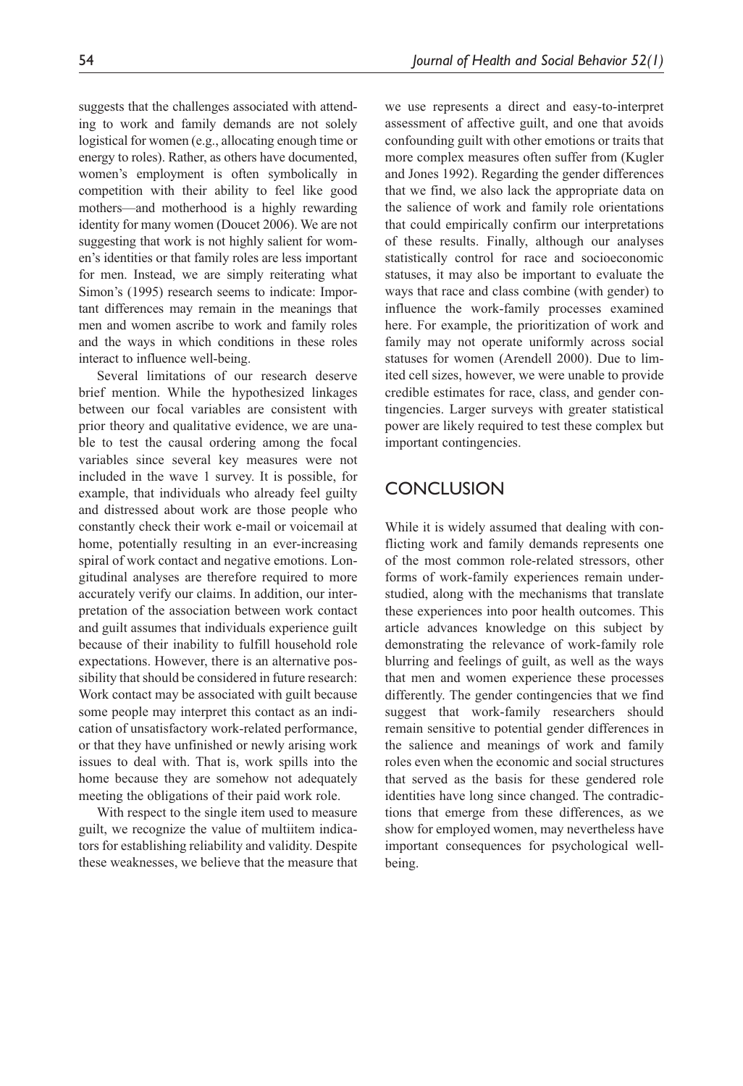suggests that the challenges associated with attending to work and family demands are not solely logistical for women (e.g., allocating enough time or energy to roles). Rather, as others have documented, women's employment is often symbolically in competition with their ability to feel like good mothers—and motherhood is a highly rewarding identity for many women (Doucet 2006). We are not suggesting that work is not highly salient for women's identities or that family roles are less important for men. Instead, we are simply reiterating what Simon's (1995) research seems to indicate: Important differences may remain in the meanings that men and women ascribe to work and family roles and the ways in which conditions in these roles interact to influence well-being.

Several limitations of our research deserve brief mention. While the hypothesized linkages between our focal variables are consistent with prior theory and qualitative evidence, we are unable to test the causal ordering among the focal variables since several key measures were not included in the wave 1 survey. It is possible, for example, that individuals who already feel guilty and distressed about work are those people who constantly check their work e-mail or voicemail at home, potentially resulting in an ever-increasing spiral of work contact and negative emotions. Longitudinal analyses are therefore required to more accurately verify our claims. In addition, our interpretation of the association between work contact and guilt assumes that individuals experience guilt because of their inability to fulfill household role expectations. However, there is an alternative possibility that should be considered in future research: Work contact may be associated with guilt because some people may interpret this contact as an indication of unsatisfactory work-related performance, or that they have unfinished or newly arising work issues to deal with. That is, work spills into the home because they are somehow not adequately meeting the obligations of their paid work role.

With respect to the single item used to measure guilt, we recognize the value of multiitem indicators for establishing reliability and validity. Despite these weaknesses, we believe that the measure that we use represents a direct and easy-to-interpret assessment of affective guilt, and one that avoids confounding guilt with other emotions or traits that more complex measures often suffer from (Kugler and Jones 1992). Regarding the gender differences that we find, we also lack the appropriate data on the salience of work and family role orientations that could empirically confirm our interpretations of these results. Finally, although our analyses statistically control for race and socioeconomic statuses, it may also be important to evaluate the ways that race and class combine (with gender) to influence the work-family processes examined here. For example, the prioritization of work and family may not operate uniformly across social statuses for women (Arendell 2000). Due to limited cell sizes, however, we were unable to provide credible estimates for race, class, and gender contingencies. Larger surveys with greater statistical power are likely required to test these complex but important contingencies.

## **CONCLUSION**

While it is widely assumed that dealing with conflicting work and family demands represents one of the most common role-related stressors, other forms of work-family experiences remain understudied, along with the mechanisms that translate these experiences into poor health outcomes. This article advances knowledge on this subject by demonstrating the relevance of work-family role blurring and feelings of guilt, as well as the ways that men and women experience these processes differently. The gender contingencies that we find suggest that work-family researchers should remain sensitive to potential gender differences in the salience and meanings of work and family roles even when the economic and social structures that served as the basis for these gendered role identities have long since changed. The contradictions that emerge from these differences, as we show for employed women, may nevertheless have important consequences for psychological wellbeing.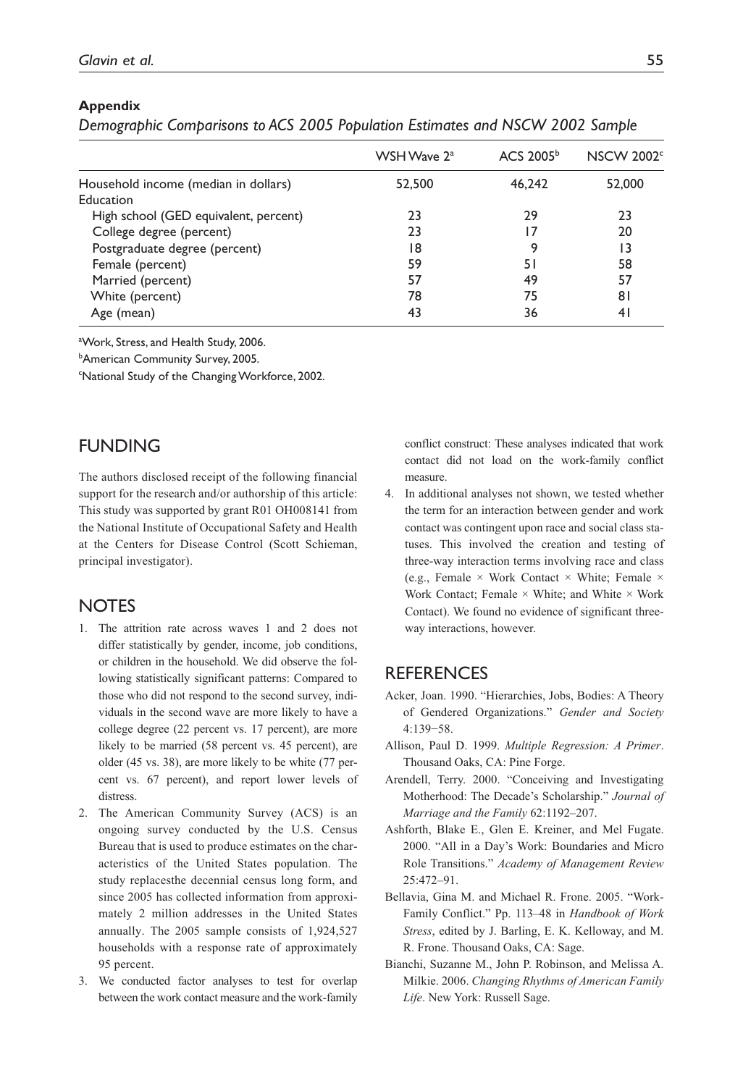#### **Appendix**

|                                       | WSH Wave 2 <sup>a</sup> | ACS 2005 <sup>b</sup> | <b>NSCW 2002</b> <sup>c</sup> |
|---------------------------------------|-------------------------|-----------------------|-------------------------------|
| Household income (median in dollars)  | 52,500                  | 46,242                | 52,000                        |
| Education                             |                         |                       |                               |
| High school (GED equivalent, percent) | 23                      | 29                    | 23                            |
| College degree (percent)              | 23                      |                       | 20                            |
| Postgraduate degree (percent)         | 18                      | 9                     | 13                            |
| Female (percent)                      | 59                      | 51                    | 58                            |
| Married (percent)                     | 57                      | 49                    | 57                            |
| White (percent)                       | 78                      | 75                    | 81                            |
| Age (mean)                            | 43                      | 36                    | 41                            |

aWork, Stress, and Health Study, 2006.

b American Community Survey, 2005.

<sup>c</sup>National Study of the Changing Workforce, 2002.

## **FUNDING**

The authors disclosed receipt of the following financial support for the research and/or authorship of this article: This study was supported by grant R01 OH008141 from the National Institute of Occupational Safety and Health at the Centers for Disease Control (Scott Schieman, principal investigator).

## **NOTES**

- 1. The attrition rate across waves 1 and 2 does not differ statistically by gender, income, job conditions, or children in the household. We did observe the following statistically significant patterns: Compared to those who did not respond to the second survey, individuals in the second wave are more likely to have a college degree (22 percent vs. 17 percent), are more likely to be married (58 percent vs. 45 percent), are older (45 vs. 38), are more likely to be white (77 percent vs. 67 percent), and report lower levels of distress.
- 2. The American Community Survey (ACS) is an ongoing survey conducted by the U.S. Census Bureau that is used to produce estimates on the characteristics of the United States population. The study replacesthe decennial census long form, and since 2005 has collected information from approximately 2 million addresses in the United States annually. The 2005 sample consists of 1,924,527 households with a response rate of approximately 95 percent.
- 3. We conducted factor analyses to test for overlap between the work contact measure and the work-family

conflict construct: These analyses indicated that work contact did not load on the work-family conflict measure.

4. In additional analyses not shown, we tested whether the term for an interaction between gender and work contact was contingent upon race and social class statuses. This involved the creation and testing of three-way interaction terms involving race and class (e.g., Female  $\times$  Work Contact  $\times$  White; Female  $\times$ Work Contact; Female  $\times$  White; and White  $\times$  Work Contact). We found no evidence of significant threeway interactions, however.

## **REFERENCES**

- Acker, Joan. 1990. "Hierarchies, Jobs, Bodies: A Theory of Gendered Organizations." *Gender and Society* 4:139−58.
- Allison, Paul D. 1999. *Multiple Regression: A Primer*. Thousand Oaks, CA: Pine Forge.
- Arendell, Terry. 2000. "Conceiving and Investigating Motherhood: The Decade's Scholarship." *Journal of Marriage and the Family* 62:1192–207.
- Ashforth, Blake E., Glen E. Kreiner, and Mel Fugate. 2000. "All in a Day's Work: Boundaries and Micro Role Transitions." *Academy of Management Review* 25:472–91.
- Bellavia, Gina M. and Michael R. Frone. 2005. "Work-Family Conflict." Pp. 113–48 in *Handbook of Work Stress*, edited by J. Barling, E. K. Kelloway, and M. R. Frone. Thousand Oaks, CA: Sage.
- Bianchi, Suzanne M., John P. Robinson, and Melissa A. Milkie. 2006. *Changing Rhythms of American Family Life*. New York: Russell Sage.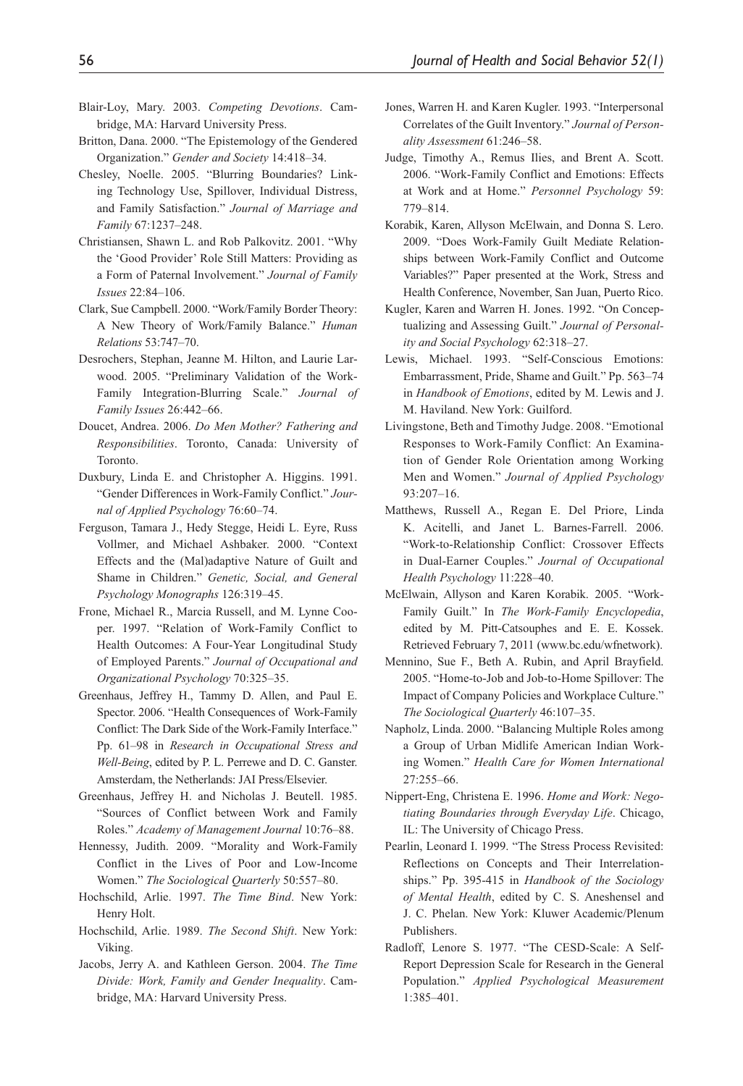- Blair-Loy, Mary. 2003. *Competing Devotions*. Cambridge, MA: Harvard University Press.
- Britton, Dana. 2000. "The Epistemology of the Gendered Organization." *Gender and Society* 14:418–34.
- Chesley, Noelle. 2005. "Blurring Boundaries? Linking Technology Use, Spillover, Individual Distress, and Family Satisfaction." *Journal of Marriage and Family* 67:1237–248.
- Christiansen, Shawn L. and Rob Palkovitz. 2001. "Why the 'Good Provider' Role Still Matters: Providing as a Form of Paternal Involvement." *Journal of Family Issues* 22:84–106.
- Clark, Sue Campbell. 2000. "Work/Family Border Theory: A New Theory of Work/Family Balance." *Human Relations* 53:747–70.
- Desrochers, Stephan, Jeanne M. Hilton, and Laurie Larwood. 2005. "Preliminary Validation of the Work-Family Integration-Blurring Scale." *Journal of Family Issues* 26:442–66.
- Doucet, Andrea. 2006. *Do Men Mother? Fathering and Responsibilities*. Toronto, Canada: University of Toronto.
- Duxbury, Linda E. and Christopher A. Higgins. 1991. "Gender Differences in Work-Family Conflict." *Journal of Applied Psychology* 76:60–74.
- Ferguson, Tamara J., Hedy Stegge, Heidi L. Eyre, Russ Vollmer, and Michael Ashbaker. 2000. "Context Effects and the (Mal)adaptive Nature of Guilt and Shame in Children." *Genetic, Social, and General Psychology Monographs* 126:319–45.
- Frone, Michael R., Marcia Russell, and M. Lynne Cooper. 1997. "Relation of Work-Family Conflict to Health Outcomes: A Four-Year Longitudinal Study of Employed Parents." *Journal of Occupational and Organizational Psychology* 70:325–35.
- Greenhaus, Jeffrey H., Tammy D. Allen, and Paul E. Spector. 2006. "Health Consequences of Work-Family Conflict: The Dark Side of the Work-Family Interface." Pp. 61–98 in *Research in Occupational Stress and Well-Being*, edited by P. L. Perrewe and D. C. Ganster. Amsterdam, the Netherlands: JAI Press/Elsevier.
- Greenhaus, Jeffrey H. and Nicholas J. Beutell. 1985. "Sources of Conflict between Work and Family Roles." *Academy of Management Journal* 10:76–88.
- Hennessy, Judith. 2009. "Morality and Work-Family Conflict in the Lives of Poor and Low-Income Women." *The Sociological Quarterly* 50:557–80.
- Hochschild, Arlie. 1997. *The Time Bind*. New York: Henry Holt.
- Hochschild, Arlie. 1989. *The Second Shift*. New York: Viking.
- Jacobs, Jerry A. and Kathleen Gerson. 2004. *The Time Divide: Work, Family and Gender Inequality*. Cambridge, MA: Harvard University Press.
- Jones, Warren H. and Karen Kugler. 1993. "Interpersonal Correlates of the Guilt Inventory." *Journal of Personality Assessment* 61:246–58.
- Judge, Timothy A., Remus Ilies, and Brent A. Scott. 2006. "Work-Family Conflict and Emotions: Effects at Work and at Home." *Personnel Psychology* 59: 779–814.
- Korabik, Karen, Allyson McElwain, and Donna S. Lero. 2009. "Does Work-Family Guilt Mediate Relationships between Work-Family Conflict and Outcome Variables?" Paper presented at the Work, Stress and Health Conference, November, San Juan, Puerto Rico.
- Kugler, Karen and Warren H. Jones. 1992. "On Conceptualizing and Assessing Guilt." *Journal of Personality and Social Psychology* 62:318–27.
- Lewis, Michael. 1993. "Self-Conscious Emotions: Embarrassment, Pride, Shame and Guilt." Pp. 563–74 in *Handbook of Emotions*, edited by M. Lewis and J. M. Haviland. New York: Guilford.
- Livingstone, Beth and Timothy Judge. 2008. "Emotional Responses to Work-Family Conflict: An Examination of Gender Role Orientation among Working Men and Women." *Journal of Applied Psychology* 93:207–16.
- Matthews, Russell A., Regan E. Del Priore, Linda K. Acitelli, and Janet L. Barnes-Farrell. 2006. "Work-to-Relationship Conflict: Crossover Effects in Dual-Earner Couples." *Journal of Occupational Health Psychology* 11:228–40.
- McElwain, Allyson and Karen Korabik. 2005. "Work-Family Guilt." In *The Work-Family Encyclopedia*, edited by M. Pitt-Catsouphes and E. E. Kossek. Retrieved February 7, 2011 (www.bc.edu/wfnetwork).
- Mennino, Sue F., Beth A. Rubin, and April Brayfield. 2005. "Home-to-Job and Job-to-Home Spillover: The Impact of Company Policies and Workplace Culture." *The Sociological Quarterly* 46:107–35.
- Napholz, Linda. 2000. "Balancing Multiple Roles among a Group of Urban Midlife American Indian Working Women." *Health Care for Women International* 27:255–66.
- Nippert-Eng, Christena E. 1996. *Home and Work: Negotiating Boundaries through Everyday Life*. Chicago, IL: The University of Chicago Press.
- Pearlin, Leonard I. 1999. "The Stress Process Revisited: Reflections on Concepts and Their Interrelationships." Pp. 395-415 in *Handbook of the Sociology of Mental Health*, edited by C. S. Aneshensel and J. C. Phelan. New York: Kluwer Academic/Plenum Publishers.
- Radloff, Lenore S. 1977. "The CESD-Scale: A Self-Report Depression Scale for Research in the General Population." *Applied Psychological Measurement* 1:385–401.